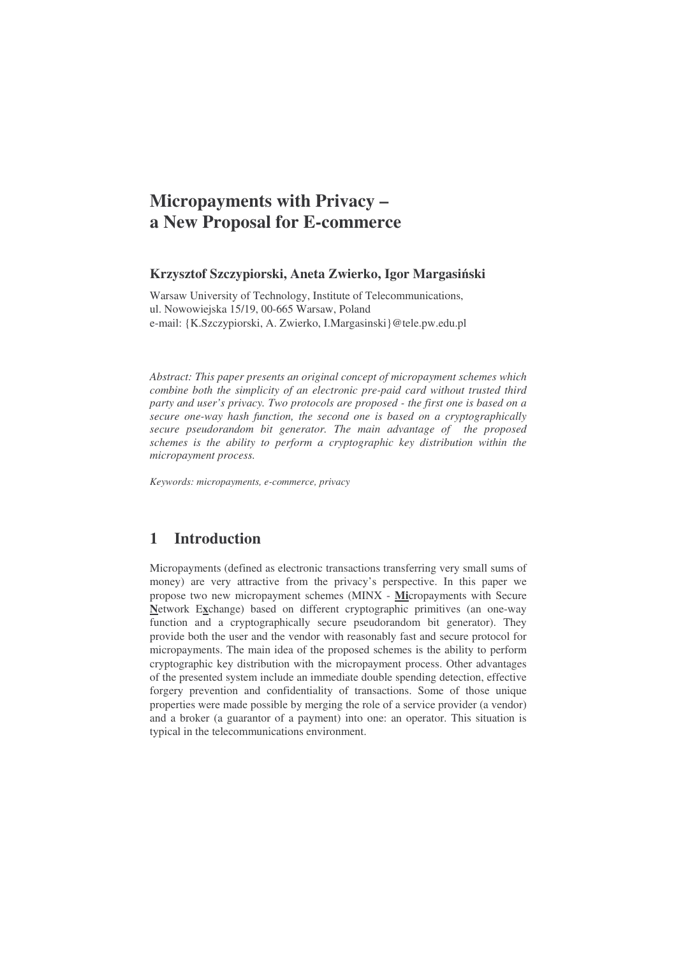# **Micropayments with Privacy – a New Proposal for E-commerce**

#### **Krzysztof Szczypiorski, Aneta Zwierko, Igor Margasiski**

Warsaw University of Technology, Institute of Telecommunications, ul. Nowowiejska 15/19, 00-665 Warsaw, Poland e-mail: {K.Szczypiorski, A. Zwierko, I.Margasinski}@tele.pw.edu.pl

*Abstract: This paper presents an original concept of micropayment schemes which combine both the simplicity of an electronic pre-paid card without trusted third party and user's privacy. Two protocols are proposed - the first one is based on a secure one-way hash function, the second one is based on a cryptographically secure pseudorandom bit generator. The main advantage of the proposed schemes is the ability to perform a cryptographic key distribution within the micropayment process.*

*Keywords: micropayments, e-commerce, privacy*

# **1 Introduction**

Micropayments (defined as electronic transactions transferring very small sums of money) are very attractive from the privacy's perspective. In this paper we propose two new micropayment schemes (MINX - **Mi**cropayments with Secure **N**etwork E**x**change) based on different cryptographic primitives (an one-way function and a cryptographically secure pseudorandom bit generator). They provide both the user and the vendor with reasonably fast and secure protocol for micropayments. The main idea of the proposed schemes is the ability to perform cryptographic key distribution with the micropayment process. Other advantages of the presented system include an immediate double spending detection, effective forgery prevention and confidentiality of transactions. Some of those unique properties were made possible by merging the role of a service provider (a vendor) and a broker (a guarantor of a payment) into one: an operator. This situation is typical in the telecommunications environment.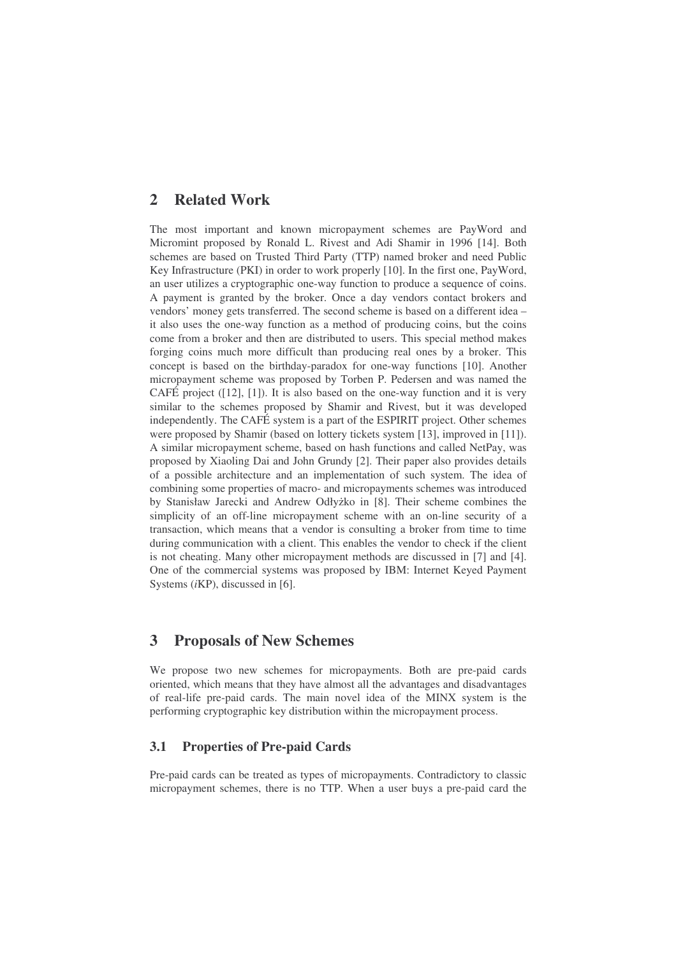# **2 Related Work**

The most important and known micropayment schemes are PayWord and Micromint proposed by Ronald L. Rivest and Adi Shamir in 1996 [14]. Both schemes are based on Trusted Third Party (TTP) named broker and need Public Key Infrastructure (PKI) in order to work properly [10]. In the first one, PayWord, an user utilizes a cryptographic one-way function to produce a sequence of coins. A payment is granted by the broker. Once a day vendors contact brokers and vendors' money gets transferred. The second scheme is based on a different idea – it also uses the one-way function as a method of producing coins, but the coins come from a broker and then are distributed to users. This special method makes forging coins much more difficult than producing real ones by a broker. This concept is based on the birthday-paradox for one-way functions [10]. Another micropayment scheme was proposed by Torben P. Pedersen and was named the CAFÉ project  $([12], [1])$ . It is also based on the one-way function and it is very similar to the schemes proposed by Shamir and Rivest, but it was developed independently. The CAFÉ system is a part of the ESPIRIT project. Other schemes were proposed by Shamir (based on lottery tickets system [13], improved in [11]). A similar micropayment scheme, based on hash functions and called NetPay, was proposed by Xiaoling Dai and John Grundy [2]. Their paper also provides details of a possible architecture and an implementation of such system. The idea of combining some properties of macro- and micropayments schemes was introduced by Stanisław Jarecki and Andrew Odłyżko in [8]. Their scheme combines the simplicity of an off-line micropayment scheme with an on-line security of a transaction, which means that a vendor is consulting a broker from time to time during communication with a client. This enables the vendor to check if the client is not cheating. Many other micropayment methods are discussed in [7] and [4]. One of the commercial systems was proposed by IBM: Internet Keyed Payment Systems (*i*KP), discussed in [6].

# **3 Proposals of New Schemes**

We propose two new schemes for micropayments. Both are pre-paid cards oriented, which means that they have almost all the advantages and disadvantages of real-life pre-paid cards. The main novel idea of the MINX system is the performing cryptographic key distribution within the micropayment process.

### **3.1 Properties of Pre-paid Cards**

Pre-paid cards can be treated as types of micropayments. Contradictory to classic micropayment schemes, there is no TTP. When a user buys a pre-paid card the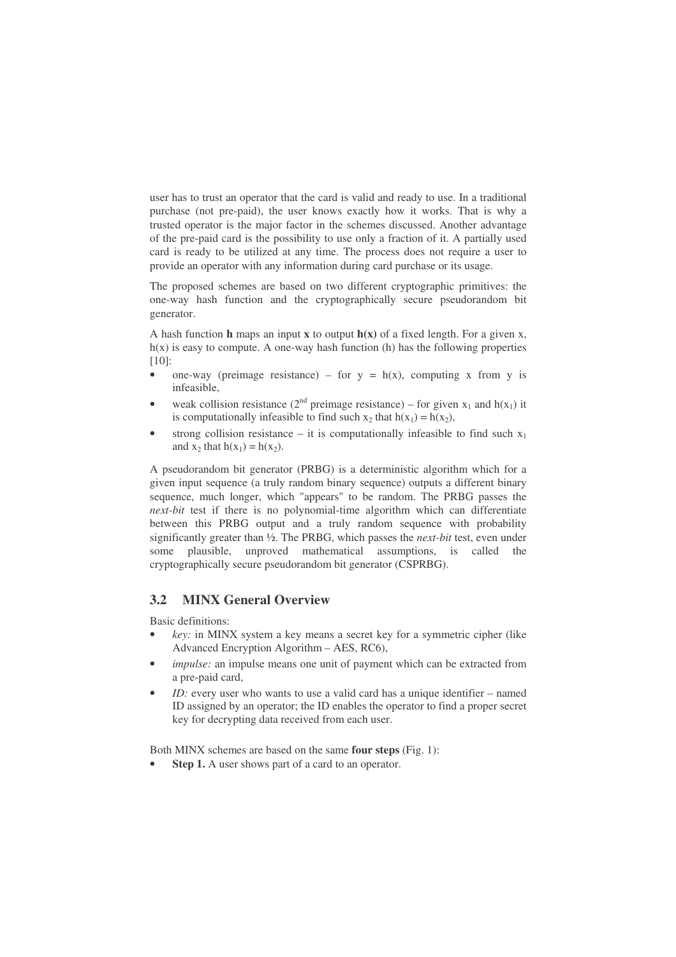user has to trust an operator that the card is valid and ready to use. In a traditional purchase (not pre-paid), the user knows exactly how it works. That is why a trusted operator is the major factor in the schemes discussed. Another advantage of the pre-paid card is the possibility to use only a fraction of it. A partially used card is ready to be utilized at any time. The process does not require a user to provide an operator with any information during card purchase or its usage.

The proposed schemes are based on two different cryptographic primitives: the one-way hash function and the cryptographically secure pseudorandom bit generator.

A hash function **h** maps an input **x** to output  $h(x)$  of a fixed length. For a given x,  $h(x)$  is easy to compute. A one-way hash function (h) has the following properties [10]:

- one-way (preimage resistance) for  $y = h(x)$ , computing x from y is infeasible,
- weak collision resistance ( $2^{nd}$  preimage resistance) for given  $x_1$  and  $h(x_1)$  it is computationally infeasible to find such  $x_2$  that  $h(x_1) = h(x_2)$ ,
- strong collision resistance it is computationally infeasible to find such  $x_1$ and  $x_2$  that  $h(x_1) = h(x_2)$ .

A pseudorandom bit generator (PRBG) is a deterministic algorithm which for a given input sequence (a truly random binary sequence) outputs a different binary sequence, much longer, which "appears" to be random. The PRBG passes the *next-bit* test if there is no polynomial-time algorithm which can differentiate between this PRBG output and a truly random sequence with probability significantly greater than ½. The PRBG, which passes the *next-bit* test, even under some plausible, unproved mathematical assumptions, is called the cryptographically secure pseudorandom bit generator (CSPRBG).

#### **3.2 MINX General Overview**

Basic definitions:

- *key:* in MINX system a key means a secret key for a symmetric cipher (like Advanced Encryption Algorithm – AES, RC6),
- *impulse*: an impulse means one unit of payment which can be extracted from a pre-paid card,
- *ID*: every user who wants to use a valid card has a unique identifier named ID assigned by an operator; the ID enables the operator to find a proper secret key for decrypting data received from each user.

Both MINX schemes are based on the same **four steps** (Fig. 1):

**Step 1.** A user shows part of a card to an operator.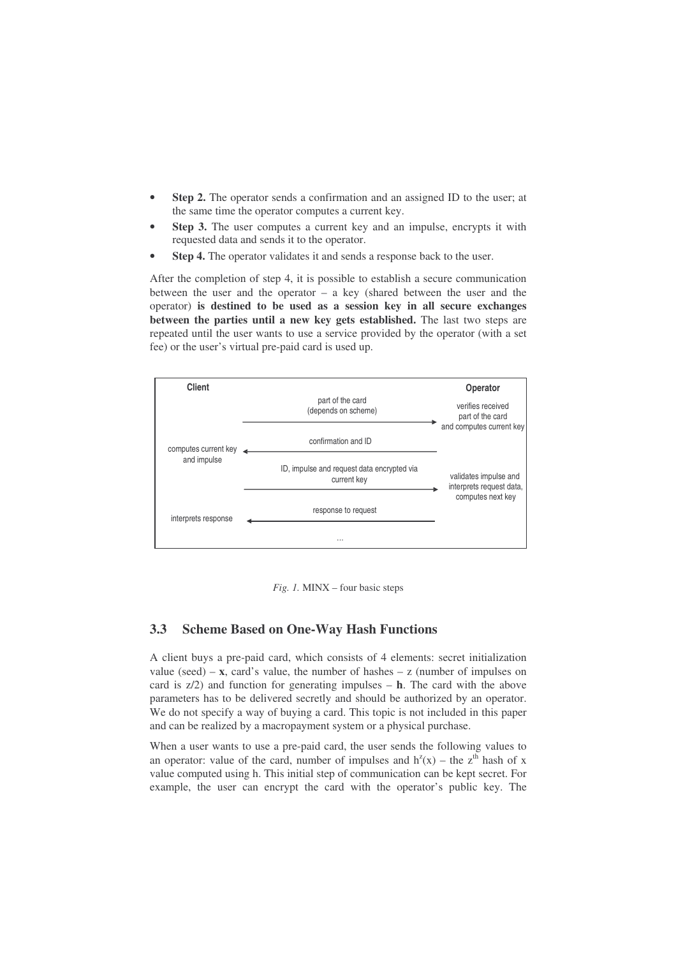- **Step 2.** The operator sends a confirmation and an assigned ID to the user; at the same time the operator computes a current key.
- **Step 3.** The user computes a current key and an impulse, encrypts it with requested data and sends it to the operator.
- **Step 4.** The operator validates it and sends a response back to the user.

After the completion of step 4, it is possible to establish a secure communication between the user and the operator – a key (shared between the user and the operator) **is destined to be used as a session key in all secure exchanges between the parties until a new key gets established.** The last two steps are repeated until the user wants to use a service provided by the operator (with a set fee) or the user's virtual pre-paid card is used up.



*Fig. 1.* MINX – four basic steps

### **3.3 Scheme Based on One-Way Hash Functions**

A client buys a pre-paid card, which consists of 4 elements: secret initialization value (seed) –  $x$ , card's value, the number of hashes – z (number of impulses on card is z/2) and function for generating impulses – **h**. The card with the above parameters has to be delivered secretly and should be authorized by an operator. We do not specify a way of buying a card. This topic is not included in this paper and can be realized by a macropayment system or a physical purchase.

When a user wants to use a pre-paid card, the user sends the following values to an operator: value of the card, number of impulses and  $h^{z}(x)$  – the  $z^{th}$  hash of x value computed using h. This initial step of communication can be kept secret. For example, the user can encrypt the card with the operator's public key. The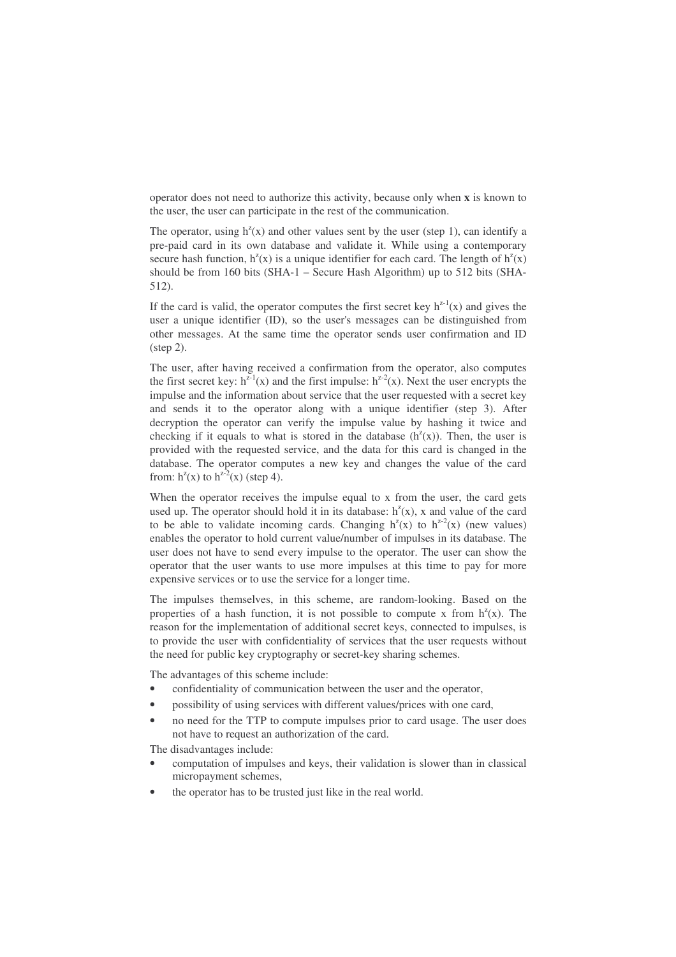operator does not need to authorize this activity, because only when **x** is known to the user, the user can participate in the rest of the communication.

The operator, using  $h^2(x)$  and other values sent by the user (step 1), can identify a pre-paid card in its own database and validate it. While using a contemporary secure hash function,  $h^{z}(x)$  is a unique identifier for each card. The length of  $h^{z}(x)$ should be from 160 bits (SHA-1 – Secure Hash Algorithm) up to 512 bits (SHA-512).

If the card is valid, the operator computes the first secret key  $h^{z-1}(x)$  and gives the user a unique identifier (ID), so the user's messages can be distinguished from other messages. At the same time the operator sends user confirmation and ID (step 2).

The user, after having received a confirmation from the operator, also computes the first secret key:  $h^{z-1}(x)$  and the first impulse:  $h^{z-2}(x)$ . Next the user encrypts the impulse and the information about service that the user requested with a secret key and sends it to the operator along with a unique identifier (step 3). After decryption the operator can verify the impulse value by hashing it twice and checking if it equals to what is stored in the database  $(h^z(x))$ . Then, the user is provided with the requested service, and the data for this card is changed in the database. The operator computes a new key and changes the value of the card from:  $h^{z}(x)$  to  $h^{z-2}(x)$  (step 4).

When the operator receives the impulse equal to x from the user, the card gets used up. The operator should hold it in its database:  $h^{z}(x)$ , x and value of the card to be able to validate incoming cards. Changing  $h^{z}(x)$  to  $h^{z-2}(x)$  (new values) enables the operator to hold current value/number of impulses in its database. The user does not have to send every impulse to the operator. The user can show the operator that the user wants to use more impulses at this time to pay for more expensive services or to use the service for a longer time.

The impulses themselves, in this scheme, are random-looking. Based on the properties of a hash function, it is not possible to compute x from  $h^{z}(x)$ . The reason for the implementation of additional secret keys, connected to impulses, is to provide the user with confidentiality of services that the user requests without the need for public key cryptography or secret-key sharing schemes.

The advantages of this scheme include:

- confidentiality of communication between the user and the operator,
- possibility of using services with different values/prices with one card,
- no need for the TTP to compute impulses prior to card usage. The user does not have to request an authorization of the card.

The disadvantages include:

- computation of impulses and keys, their validation is slower than in classical micropayment schemes,
- the operator has to be trusted just like in the real world.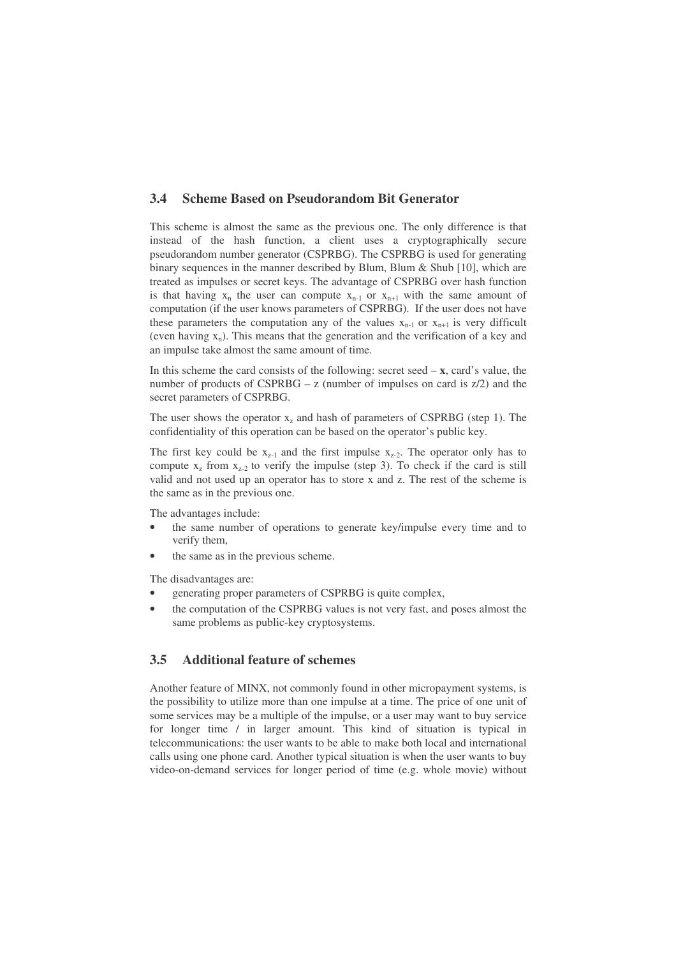#### **3.4 Scheme Based on Pseudorandom Bit Generator**

This scheme is almost the same as the previous one. The only difference is that instead of the hash function, a client uses a cryptographically secure pseudorandom number generator (CSPRBG). The CSPRBG is used for generating binary sequences in the manner described by Blum, Blum & Shub [10], which are treated as impulses or secret keys. The advantage of CSPRBG over hash function is that having  $x_n$  the user can compute  $x_{n+1}$  or  $x_{n+1}$  with the same amount of computation (if the user knows parameters of CSPRBG). If the user does not have these parameters the computation any of the values  $x_{n-1}$  or  $x_{n+1}$  is very difficult (even having  $x_n$ ). This means that the generation and the verification of a key and an impulse take almost the same amount of time.

In this scheme the card consists of the following: secret seed  $-\mathbf{x}$ , card's value, the number of products of CSPRBG –  $z$  (number of impulses on card is  $z/2$ ) and the secret parameters of CSPRBG.

The user shows the operator  $x<sub>z</sub>$  and hash of parameters of CSPRBG (step 1). The confidentiality of this operation can be based on the operator's public key.

The first key could be  $x_{z-1}$  and the first impulse  $x_{z-2}$ . The operator only has to compute  $x_2$  from  $x_{2-2}$  to verify the impulse (step 3). To check if the card is still valid and not used up an operator has to store x and z. The rest of the scheme is the same as in the previous one.

The advantages include:

- the same number of operations to generate key/impulse every time and to verify them,
- the same as in the previous scheme.

The disadvantages are:

- generating proper parameters of CSPRBG is quite complex,
- the computation of the CSPRBG values is not very fast, and poses almost the same problems as public-key cryptosystems.

#### **3.5 Additional feature of schemes**

Another feature of MINX, not commonly found in other micropayment systems, is the possibility to utilize more than one impulse at a time. The price of one unit of some services may be a multiple of the impulse, or a user may want to buy service for longer time / in larger amount. This kind of situation is typical in telecommunications: the user wants to be able to make both local and international calls using one phone card. Another typical situation is when the user wants to buy video-on-demand services for longer period of time (e.g. whole movie) without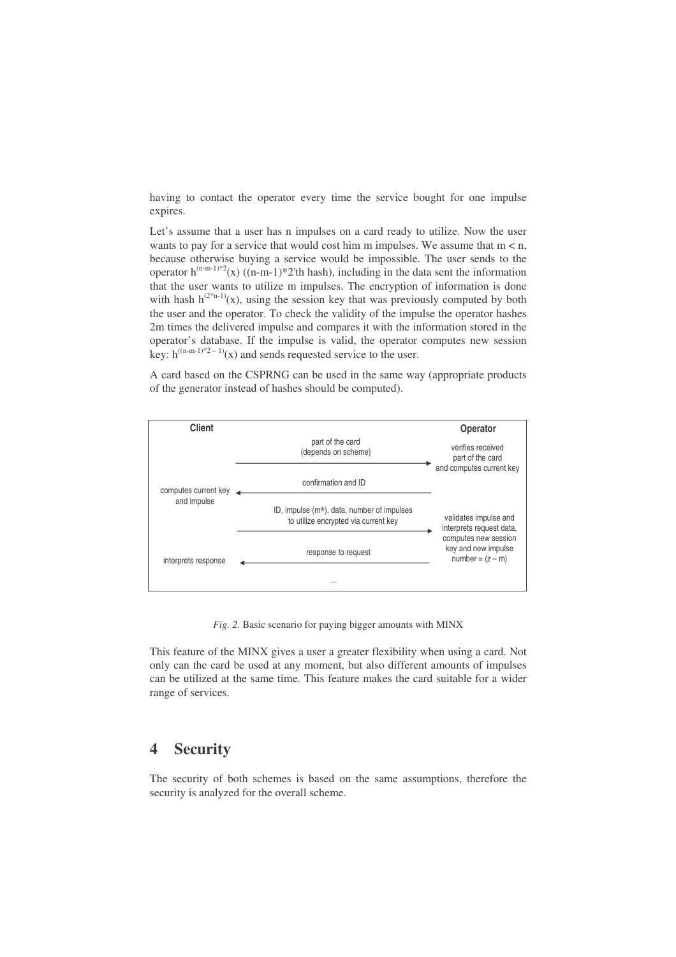having to contact the operator every time the service bought for one impulse expires.

Let's assume that a user has n impulses on a card ready to utilize. Now the user wants to pay for a service that would cost him m impulses. We assume that  $m < n$ , because otherwise buying a service would be impossible. The user sends to the operator h<sup>(n-m-1)\*2</sup>(x) ((n-m-1)\*2'th hash), including in the data sent the information that the user wants to utilize m impulses. The encryption of information is done with hash  $h^{(2^{*}n-1)}(x)$ , using the session key that was previously computed by both the user and the operator. To check the validity of the impulse the operator hashes 2m times the delivered impulse and compares it with the information stored in the operator's database. If the impulse is valid, the operator computes new session key:  $h^{((n-m-1)*2-1)}(x)$  and sends requested service to the user.

A card based on the CSPRNG can be used in the same way (appropriate products of the generator instead of hashes should be computed).



*Fig. 2.* Basic scenario for paying bigger amounts with MINX

This feature of the MINX gives a user a greater flexibility when using a card. Not only can the card be used at any moment, but also different amounts of impulses can be utilized at the same time. This feature makes the card suitable for a wider range of services.

# **4 Security**

The security of both schemes is based on the same assumptions, therefore the security is analyzed for the overall scheme.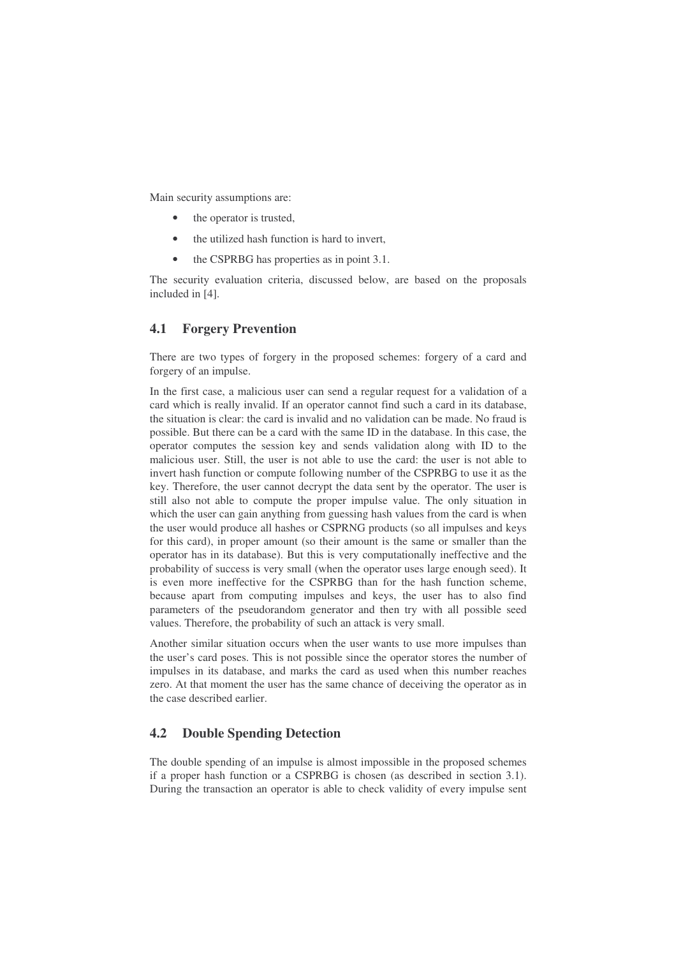Main security assumptions are:

- the operator is trusted,
- the utilized hash function is hard to invert,
- the CSPRBG has properties as in point 3.1.

The security evaluation criteria, discussed below, are based on the proposals included in [4].

#### **4.1 Forgery Prevention**

There are two types of forgery in the proposed schemes: forgery of a card and forgery of an impulse.

In the first case, a malicious user can send a regular request for a validation of a card which is really invalid. If an operator cannot find such a card in its database, the situation is clear: the card is invalid and no validation can be made. No fraud is possible. But there can be a card with the same ID in the database. In this case, the operator computes the session key and sends validation along with ID to the malicious user. Still, the user is not able to use the card: the user is not able to invert hash function or compute following number of the CSPRBG to use it as the key. Therefore, the user cannot decrypt the data sent by the operator. The user is still also not able to compute the proper impulse value. The only situation in which the user can gain anything from guessing hash values from the card is when the user would produce all hashes or CSPRNG products (so all impulses and keys for this card), in proper amount (so their amount is the same or smaller than the operator has in its database). But this is very computationally ineffective and the probability of success is very small (when the operator uses large enough seed). It is even more ineffective for the CSPRBG than for the hash function scheme, because apart from computing impulses and keys, the user has to also find parameters of the pseudorandom generator and then try with all possible seed values. Therefore, the probability of such an attack is very small.

Another similar situation occurs when the user wants to use more impulses than the user's card poses. This is not possible since the operator stores the number of impulses in its database, and marks the card as used when this number reaches zero. At that moment the user has the same chance of deceiving the operator as in the case described earlier.

# **4.2 Double Spending Detection**

The double spending of an impulse is almost impossible in the proposed schemes if a proper hash function or a CSPRBG is chosen (as described in section 3.1). During the transaction an operator is able to check validity of every impulse sent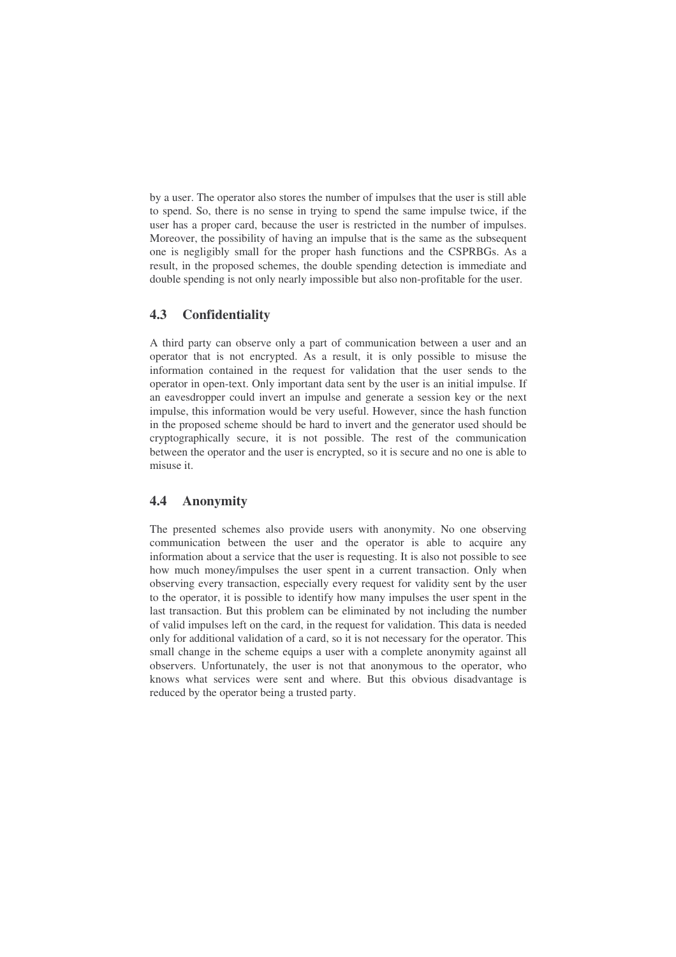by a user. The operator also stores the number of impulses that the user is still able to spend. So, there is no sense in trying to spend the same impulse twice, if the user has a proper card, because the user is restricted in the number of impulses. Moreover, the possibility of having an impulse that is the same as the subsequent one is negligibly small for the proper hash functions and the CSPRBGs. As a result, in the proposed schemes, the double spending detection is immediate and double spending is not only nearly impossible but also non-profitable for the user.

# **4.3 Confidentiality**

A third party can observe only a part of communication between a user and an operator that is not encrypted. As a result, it is only possible to misuse the information contained in the request for validation that the user sends to the operator in open-text. Only important data sent by the user is an initial impulse. If an eavesdropper could invert an impulse and generate a session key or the next impulse, this information would be very useful. However, since the hash function in the proposed scheme should be hard to invert and the generator used should be cryptographically secure, it is not possible. The rest of the communication between the operator and the user is encrypted, so it is secure and no one is able to misuse it.

### **4.4 Anonymity**

The presented schemes also provide users with anonymity. No one observing communication between the user and the operator is able to acquire any information about a service that the user is requesting. It is also not possible to see how much money/impulses the user spent in a current transaction. Only when observing every transaction, especially every request for validity sent by the user to the operator, it is possible to identify how many impulses the user spent in the last transaction. But this problem can be eliminated by not including the number of valid impulses left on the card, in the request for validation. This data is needed only for additional validation of a card, so it is not necessary for the operator. This small change in the scheme equips a user with a complete anonymity against all observers. Unfortunately, the user is not that anonymous to the operator, who knows what services were sent and where. But this obvious disadvantage is reduced by the operator being a trusted party.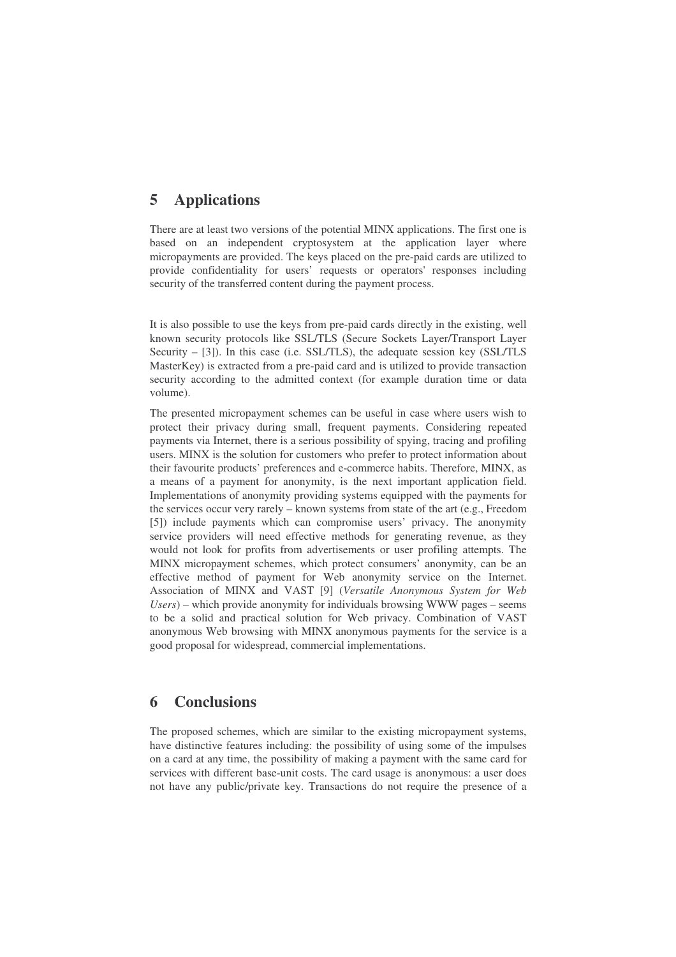# **5 Applications**

There are at least two versions of the potential MINX applications. The first one is based on an independent cryptosystem at the application layer where micropayments are provided. The keys placed on the pre-paid cards are utilized to provide confidentiality for users' requests or operators'responses including security of the transferred content during the payment process.

It is also possible to use the keys from pre-paid cards directly in the existing, well known security protocols like SSL/TLS (Secure Sockets Layer/Transport Layer Security – [3]). In this case (i.e. SSL/TLS), the adequate session key (SSL/TLS MasterKey) is extracted from a pre-paid card and is utilized to provide transaction security according to the admitted context (for example duration time or data volume).

The presented micropayment schemes can be useful in case where users wish to protect their privacy during small, frequent payments. Considering repeated payments via Internet, there is a serious possibility of spying, tracing and profiling users. MINX is the solution for customers who prefer to protect information about their favourite products' preferences and e-commerce habits. Therefore, MINX, as a means of a payment for anonymity, is the next important application field. Implementations of anonymity providing systems equipped with the payments for the services occur very rarely – known systems from state of the art (e.g., Freedom [5]) include payments which can compromise users' privacy. The anonymity service providers will need effective methods for generating revenue, as they would not look for profits from advertisements or user profiling attempts. The MINX micropayment schemes, which protect consumers' anonymity, can be an effective method of payment for Web anonymity service on the Internet. Association of MINX and VAST [9] (*Versatile Anonymous System for Web Users*) – which provide anonymity for individuals browsing WWW pages – seems to be a solid and practical solution for Web privacy. Combination of VAST anonymous Web browsing with MINX anonymous payments for the service is a good proposal for widespread, commercial implementations.

# **6 Conclusions**

The proposed schemes, which are similar to the existing micropayment systems, have distinctive features including: the possibility of using some of the impulses on a card at any time, the possibility of making a payment with the same card for services with different base-unit costs. The card usage is anonymous: a user does not have any public/private key. Transactions do not require the presence of a